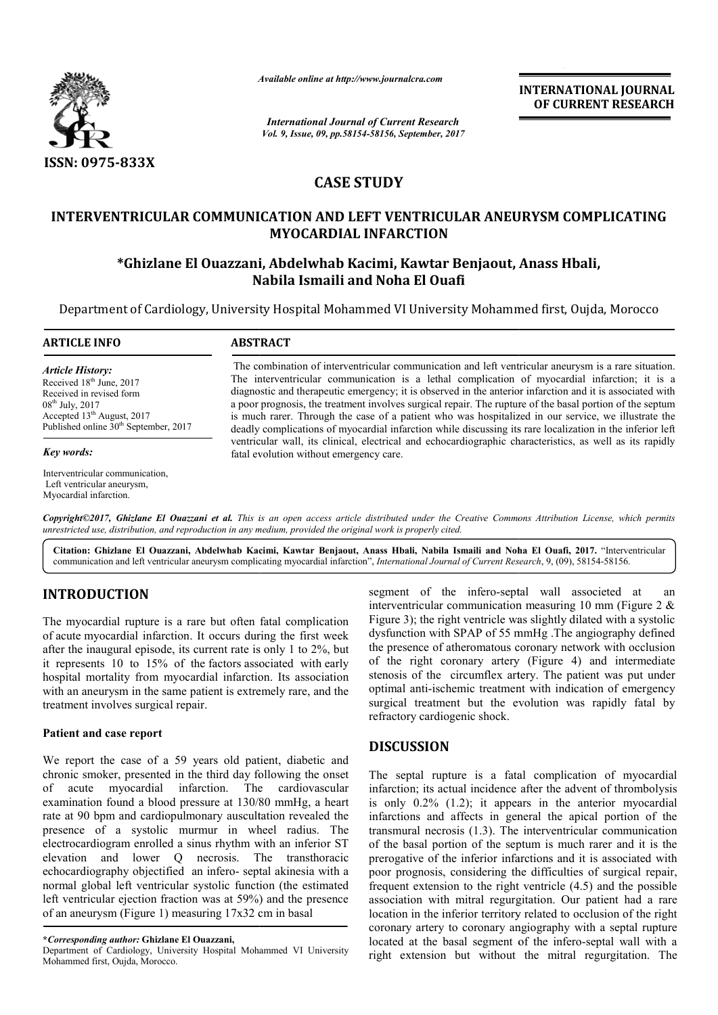

*Available online at http://www.journalcra.com*

*International Journal of Current Research Vol. 9, Issue, 09, pp.58154-58156, September, 2017* **INTERNATIONAL JOURNAL OF CURRENT RESEARCH**

# **CASE STUDY**

# **INTERVENTRICULAR COMMUNICATION AND LEFT VENTRICULAR ANEURYSM COMPLICATING MYOCARDIAL INFARCTION**

# **\*Ghizlane El Ouazzani, Abdelwhab Kacimi, Kawtar Benjaout Ghizlane Benjaout, Anass Hbali , Anass Hbali, Nabila Ismaili and Noha El Ouafi**

Department of Cardiology, University Hospital Mohammed VI University Mohammed first, Oujda, Morocco

#### **ARTICLE INFO ABSTRACT**

*Article History:* Received 18<sup>th</sup> June, 2017 Received in revised form  $08^{th}$  July, 2017 Accepted 13<sup>th</sup> August, 2017 Published online  $30<sup>th</sup>$  September, 2017

#### *Key words:*

Interventricular communication, Left ventricular aneurysm, Myocardial infarction.

The combination of interventricular communication and left ventricular aneurysm is a rare situation. The interventricular communication is a lethal complication of myocardial infarction; it is a diagnostic and therapeutic emergency; it is observed in the anterior infarction and it is associated with a poor prognosis, the treatment involves surgical repair. The rupture of the basal portion of the septum is much rarer. Through the case of a patient who was hospitalized in our service, we illustrate the deadly complications of myocardial infarction while discussing its rare localization in the inferior left a poor prognosis, the treatment involves surgical repair. The rupture of the basal portion of the septum<br>is much rarer. Through the case of a patient who was hospitalized in our service, we illustrate the<br>deadly complicati fatal evolution without emergency care. The combination of interventricular communication and left ventricular aneurysm is a rare situation.<br>The interventricular communication is a lethal complication of myocardial infarction; it is a diagnostic and therapeutic

Copyright©2017, Ghizlane El Ouazzani et al. This is an open access article distributed under the Creative Commons Attribution License, which permits unrestricted use, distribution, and reproduction in any medium, provided the original work is properly cited.

**Citation: Ghizlane El Ouazzani, Abdelwhab Kacimi, Kawtar Benjaout, Anass Hbali, Nabila Ismaili and Noha El Ouafi Benjaout, El Ouafi, 2017.** "Interventricular communication and left ventricular aneurysm complicating myocardial infarction", *International Journal of Current Research*, 9, (09), 58154-58156.

# **INTRODUCTION**

The myocardial rupture is a rare but often fatal complication of acute myocardial infarction. It occurs during the first week after the inaugural episode, its current rate is only 1 to 2%, but it represents 10 to 15% of the factors associated with early hospital mortality from myocardial infarction. Its association with an aneurysm in the same patient is extremely rare, and the treatment involves surgical repair.

## **Patient and case report**

We report the case of a 59 years old patient, diabetic and chronic smoker, presented in the third day following the onset of acute myocardial infarction. The cardiovascular examination found a blood pressure at 130/80 mmHg, a heart rate at 90 bpm and cardiopulmonary auscultation revealed the presence of a systolic murmur in wheel radius. The electrocardiogram enrolled a sinus rhythm with an inferior ST elevation and lower Q necrosis. The transthoracic echocardiography objectified an infero- septal akinesia with a normal global left ventricular systolic function (the estimated left ventricular ejection fraction was at 59%) and the presence of an aneurysm (Figure 1) measuring 17x32 cm in basal port the case of a 59 years of<br>c smoker, presented in the third<br>cute myocardial infarction<br>nation found a blood pressure :<br>90 bpm and cardiopulmonary

Department of Cardiology, University Hospital Mohammed VI University Mohammed first, Oujda, Morocco.

segment of the infero-septal wall associeted at an interventricular communication measuring 10 mm (Figure 2  $\&$ Figure 3); the right ventricle was slightly dilated with a systolic dysfunction with SPAP of 55 mmHg .The angiography defined the presence of atheromatous coronary network with occlusion Figure 3); the right ventricle was slightly dilated with a systolic dysfunction with SPAP of 55 mmHg .The angiography defined the presence of atheromatous coronary network with occlusion of the right coronary artery (Figur stenosis of the circumflex artery. The patient was put under optimal anti-ischemic treatment with indication of emergency surgical treatment but the evolution was rapidly fatal by refractory cardiogenic shock.

## **DISCUSSION**

segment of the infero-septal wall associeted at<br>interventicular communication measuring 10 nm (Figure 2 &<br>te, its current rate is only 1 to 2%, but the presence of atheromatous coronary network with occlusion<br>te, its curre The septal rupture is a fatal complication of myocardial infarction; its actual incidence after the advent of thrombolysis is only 0.2% (1.2); it appears in the anterior myocardial infarctions and affects in general the apical portion of the transmural necrosis (1.3). The interventricular communication of the basal portion of the septum is much rarer and it is the prerogative of the inferior infarctions and it is associated with poor prognosis, considering the difficulties of surgical repair, frequent extension to the right ventricle  $(4.5)$  and the possible association with mitral regurgitation. Our patient had a rare location in the inferior territory related to occlusion of the right coronary artery to coronary angiography with a septal rupture located at the basal segment of the infero-septal wall with a right extension but without the mitral regurgitation. The is is of the circumflex artery. The patient was put under<br>al anti-ischemic treatment with indication of emergency<br>cal treatment but the evolution was rapidly fatal by<br>tory cardiogenic shock.<br>**CUSSION**<br>septal rupture is a f the inferior territory related to occlusion of the right<br>tery to coronary angiography with a septal rupture<br>the basal segment of the infero-septal wall with a **INTERNATIONAL JOURNAL**<br>
OF CURRENT RESEARCH<br>
OF CURRENT RESEARCH<br>
17<br>
17<br>
17<br>
17<br>
18<br> **EAR ANEURYSM COMPLICATING**<br> **Senjaout, Anass Hbali,**<br> **fi**<br> **ii**y Mohammed first, Oujda, Morocco<br>
n and left ventricular aneurysm is

**<sup>\*</sup>***Corresponding author:* **Ghizlane El Ouazzani,**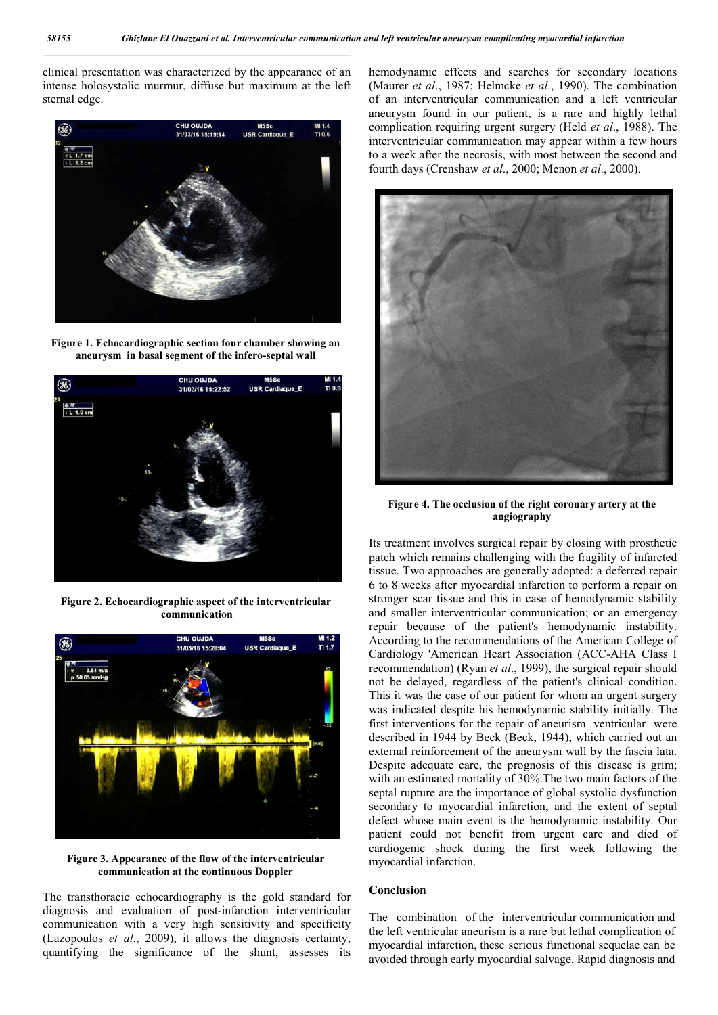clinical presentation was characterized by the appearance of an intense holosystolic murmur, diffuse but maximum at the left sternal edge.







**Figure 2. Echocardiographic aspect of the interventricular communication**



**Figure 3. Appearance of the flow of the interventricular communication at the continuous Doppler**

The transthoracic echocardiography is the gold standard for diagnosis and evaluation of post-infarction interventricular communication with a very high sensitivity and specificity (Lazopoulos *et al*., 2009), it allows the diagnosis certainty, quantifying the significance of the shunt, assesses its

hemodynamic effects and searches for secondary locations (Maurer *et al*., 1987; Helmcke *et al*., 1990). The combination of an interventricular communication and a left ventricular aneurysm found in our patient, is a rare and highly lethal complication requiring urgent surgery (Held *et al*., 1988). The interventricular communication may appear within a few hours to a week after the necrosis, with most between the second and fourth days (Crenshaw *et al*., 2000; Menon *et al*., 2000).



**Figure 4. The occlusion of the right coronary artery at the angiography**

Its treatment involves surgical repair by closing with prosthetic patch which remains challenging with the fragility of infarcted tissue. Two approaches are generally adopted: a deferred repair 6 to 8 weeks after myocardial infarction to perform a repair on stronger scar tissue and this in case of hemodynamic stability and smaller interventricular communication; or an emergency repair because of the patient's hemodynamic instability. According to the recommendations of the American College of Cardiology 'American Heart Association (ACC-AHA Class I recommendation) (Ryan *et al*., 1999), the surgical repair should not be delayed, regardless of the patient's clinical condition. This it was the case of our patient for whom an urgent surgery was indicated despite his hemodynamic stability initially. The first interventions for the repair of aneurism ventricular were described in 1944 by Beck (Beck, 1944), which carried out an external reinforcement of the aneurysm wall by the fascia lata. Despite adequate care, the prognosis of this disease is grim; with an estimated mortality of 30%.The two main factors of the septal rupture are the importance of global systolic dysfunction secondary to myocardial infarction, and the extent of septal defect whose main event is the hemodynamic instability. Our patient could not benefit from urgent care and died of cardiogenic shock during the first week following the myocardial infarction.

## **Conclusion**

The combination of the interventricular communication and the left ventricular aneurism is a rare but lethal complication of myocardial infarction, these serious functional sequelae can be avoided through early myocardial salvage. Rapid diagnosis and